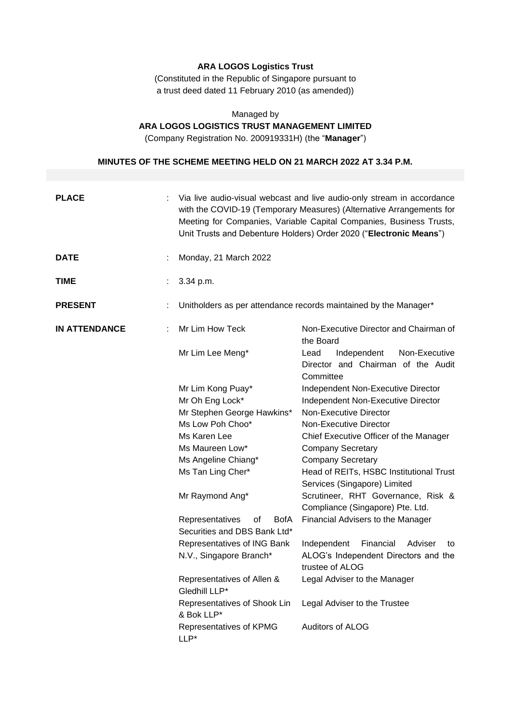## **ARA LOGOS Logistics Trust**

(Constituted in the Republic of Singapore pursuant to a trust deed dated 11 February 2010 (as amended))

# Managed by **ARA LOGOS LOGISTICS TRUST MANAGEMENT LIMITED**

(Company Registration No. 200919331H) (the "**Manager**")

# **MINUTES OF THE SCHEME MEETING HELD ON 21 MARCH 2022 AT 3.34 P.M.**

| <b>PLACE</b>         | Via live audio-visual webcast and live audio-only stream in accordance<br>with the COVID-19 (Temporary Measures) (Alternative Arrangements for<br>Meeting for Companies, Variable Capital Companies, Business Trusts,<br>Unit Trusts and Debenture Holders) Order 2020 ("Electronic Means") |                                                                                         |  |
|----------------------|---------------------------------------------------------------------------------------------------------------------------------------------------------------------------------------------------------------------------------------------------------------------------------------------|-----------------------------------------------------------------------------------------|--|
| <b>DATE</b>          | Monday, 21 March 2022                                                                                                                                                                                                                                                                       |                                                                                         |  |
| <b>TIME</b>          | 3.34 p.m.                                                                                                                                                                                                                                                                                   |                                                                                         |  |
| <b>PRESENT</b>       | Unitholders as per attendance records maintained by the Manager*                                                                                                                                                                                                                            |                                                                                         |  |
| <b>IN ATTENDANCE</b> | Mr Lim How Teck                                                                                                                                                                                                                                                                             | Non-Executive Director and Chairman of<br>the Board                                     |  |
|                      | Mr Lim Lee Meng*                                                                                                                                                                                                                                                                            | Independent<br>Non-Executive<br>Lead<br>Director and Chairman of the Audit<br>Committee |  |
|                      | Mr Lim Kong Puay*                                                                                                                                                                                                                                                                           | Independent Non-Executive Director                                                      |  |
|                      | Mr Oh Eng Lock*                                                                                                                                                                                                                                                                             | Independent Non-Executive Director                                                      |  |
|                      | Mr Stephen George Hawkins*                                                                                                                                                                                                                                                                  | Non-Executive Director                                                                  |  |
|                      | Ms Low Poh Choo*                                                                                                                                                                                                                                                                            | Non-Executive Director                                                                  |  |
|                      | Ms Karen Lee<br>Chief Executive Officer of the Manager                                                                                                                                                                                                                                      |                                                                                         |  |
|                      | Ms Maureen Low*<br><b>Company Secretary</b>                                                                                                                                                                                                                                                 |                                                                                         |  |
|                      | Ms Angeline Chiang*                                                                                                                                                                                                                                                                         | <b>Company Secretary</b>                                                                |  |
|                      | Ms Tan Ling Cher*                                                                                                                                                                                                                                                                           | Head of REITs, HSBC Institutional Trust<br>Services (Singapore) Limited                 |  |
|                      | Mr Raymond Ang*                                                                                                                                                                                                                                                                             | Scrutineer, RHT Governance, Risk &<br>Compliance (Singapore) Pte. Ltd.                  |  |
|                      | Representatives<br><b>BofA</b><br>οf<br>Securities and DBS Bank Ltd*                                                                                                                                                                                                                        | Financial Advisers to the Manager                                                       |  |
|                      | Representatives of ING Bank                                                                                                                                                                                                                                                                 | Independent<br>Financial<br>Adviser<br>to                                               |  |
|                      | N.V., Singapore Branch*                                                                                                                                                                                                                                                                     | ALOG's Independent Directors and the<br>trustee of ALOG                                 |  |
|                      | Representatives of Allen &<br>Gledhill LLP*                                                                                                                                                                                                                                                 | Legal Adviser to the Manager<br>Legal Adviser to the Trustee<br>Auditors of ALOG        |  |
|                      | Representatives of Shook Lin<br>& Bok LLP*                                                                                                                                                                                                                                                  |                                                                                         |  |
|                      | Representatives of KPMG<br>LLP*                                                                                                                                                                                                                                                             |                                                                                         |  |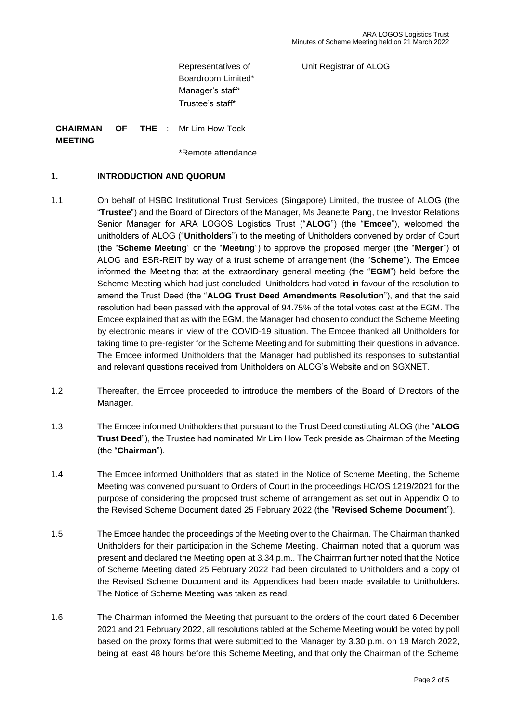Unit Registrar of ALOG

Representatives of Boardroom Limited\* Manager's staff\* Trustee's staff\*

**CHAIRMAN OF THE MEETING** Mr Lim How Teck

\*Remote attendance

#### **1. INTRODUCTION AND QUORUM**

- 1.1 On behalf of HSBC Institutional Trust Services (Singapore) Limited, the trustee of ALOG (the "**Trustee**") and the Board of Directors of the Manager, Ms Jeanette Pang, the Investor Relations Senior Manager for ARA LOGOS Logistics Trust ("**ALOG**") (the "**Emcee**"), welcomed the unitholders of ALOG ("**Unitholders**") to the meeting of Unitholders convened by order of Court (the "**Scheme Meeting**" or the "**Meeting**") to approve the proposed merger (the "**Merger**") of ALOG and ESR-REIT by way of a trust scheme of arrangement (the "**Scheme**"). The Emcee informed the Meeting that at the extraordinary general meeting (the "**EGM**") held before the Scheme Meeting which had just concluded, Unitholders had voted in favour of the resolution to amend the Trust Deed (the "**ALOG Trust Deed Amendments Resolution**"), and that the said resolution had been passed with the approval of 94.75% of the total votes cast at the EGM. The Emcee explained that as with the EGM, the Manager had chosen to conduct the Scheme Meeting by electronic means in view of the COVID-19 situation. The Emcee thanked all Unitholders for taking time to pre-register for the Scheme Meeting and for submitting their questions in advance. The Emcee informed Unitholders that the Manager had published its responses to substantial and relevant questions received from Unitholders on ALOG's Website and on SGXNET.
- 1.2 Thereafter, the Emcee proceeded to introduce the members of the Board of Directors of the Manager.
- 1.3 The Emcee informed Unitholders that pursuant to the Trust Deed constituting ALOG (the "**ALOG Trust Deed**"), the Trustee had nominated Mr Lim How Teck preside as Chairman of the Meeting (the "**Chairman**").
- 1.4 The Emcee informed Unitholders that as stated in the Notice of Scheme Meeting, the Scheme Meeting was convened pursuant to Orders of Court in the proceedings HC/OS 1219/2021 for the purpose of considering the proposed trust scheme of arrangement as set out in Appendix O to the Revised Scheme Document dated 25 February 2022 (the "**Revised Scheme Document**").
- 1.5 The Emcee handed the proceedings of the Meeting over to the Chairman. The Chairman thanked Unitholders for their participation in the Scheme Meeting. Chairman noted that a quorum was present and declared the Meeting open at 3.34 p.m.. The Chairman further noted that the Notice of Scheme Meeting dated 25 February 2022 had been circulated to Unitholders and a copy of the Revised Scheme Document and its Appendices had been made available to Unitholders. The Notice of Scheme Meeting was taken as read.
- 1.6 The Chairman informed the Meeting that pursuant to the orders of the court dated 6 December 2021 and 21 February 2022, all resolutions tabled at the Scheme Meeting would be voted by poll based on the proxy forms that were submitted to the Manager by 3.30 p.m. on 19 March 2022, being at least 48 hours before this Scheme Meeting, and that only the Chairman of the Scheme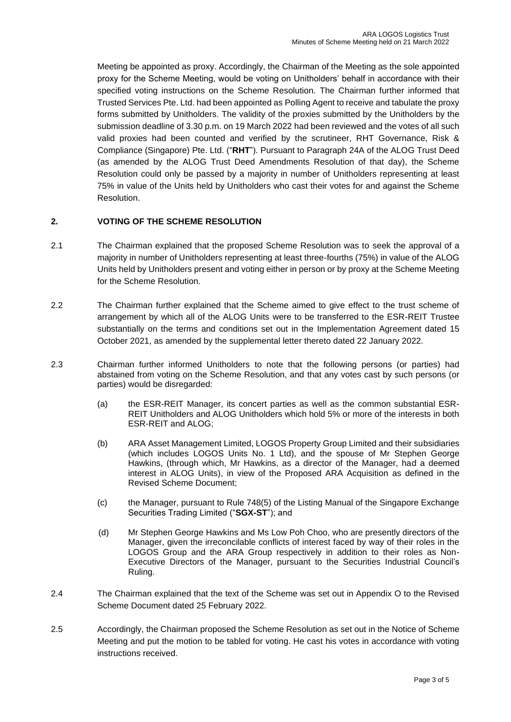Meeting be appointed as proxy. Accordingly, the Chairman of the Meeting as the sole appointed proxy for the Scheme Meeting, would be voting on Unitholders' behalf in accordance with their specified voting instructions on the Scheme Resolution. The Chairman further informed that Trusted Services Pte. Ltd. had been appointed as Polling Agent to receive and tabulate the proxy forms submitted by Unitholders. The validity of the proxies submitted by the Unitholders by the submission deadline of 3.30 p.m. on 19 March 2022 had been reviewed and the votes of all such valid proxies had been counted and verified by the scrutineer, RHT Governance, Risk & Compliance (Singapore) Pte. Ltd. ("**RHT**"). Pursuant to Paragraph 24A of the ALOG Trust Deed (as amended by the ALOG Trust Deed Amendments Resolution of that day), the Scheme Resolution could only be passed by a majority in number of Unitholders representing at least 75% in value of the Units held by Unitholders who cast their votes for and against the Scheme Resolution.

## **2. VOTING OF THE SCHEME RESOLUTION**

- 2.1 The Chairman explained that the proposed Scheme Resolution was to seek the approval of a majority in number of Unitholders representing at least three-fourths (75%) in value of the ALOG Units held by Unitholders present and voting either in person or by proxy at the Scheme Meeting for the Scheme Resolution.
- 2.2 The Chairman further explained that the Scheme aimed to give effect to the trust scheme of arrangement by which all of the ALOG Units were to be transferred to the ESR-REIT Trustee substantially on the terms and conditions set out in the Implementation Agreement dated 15 October 2021, as amended by the supplemental letter thereto dated 22 January 2022.
- 2.3 Chairman further informed Unitholders to note that the following persons (or parties) had abstained from voting on the Scheme Resolution, and that any votes cast by such persons (or parties) would be disregarded:
	- (a) the ESR-REIT Manager, its concert parties as well as the common substantial ESR-REIT Unitholders and ALOG Unitholders which hold 5% or more of the interests in both ESR-REIT and ALOG;
	- (b) ARA Asset Management Limited, LOGOS Property Group Limited and their subsidiaries (which includes LOGOS Units No. 1 Ltd), and the spouse of Mr Stephen George Hawkins, (through which, Mr Hawkins, as a director of the Manager, had a deemed interest in ALOG Units), in view of the Proposed ARA Acquisition as defined in the Revised Scheme Document;
	- (c) the Manager, pursuant to Rule 748(5) of the Listing Manual of the Singapore Exchange Securities Trading Limited ("**SGX-ST**"); and
	- (d) Mr Stephen George Hawkins and Ms Low Poh Choo, who are presently directors of the Manager, given the irreconcilable conflicts of interest faced by way of their roles in the LOGOS Group and the ARA Group respectively in addition to their roles as Non-Executive Directors of the Manager, pursuant to the Securities Industrial Council's Ruling.
- 2.4 The Chairman explained that the text of the Scheme was set out in Appendix O to the Revised Scheme Document dated 25 February 2022.
- 2.5 Accordingly, the Chairman proposed the Scheme Resolution as set out in the Notice of Scheme Meeting and put the motion to be tabled for voting. He cast his votes in accordance with voting instructions received.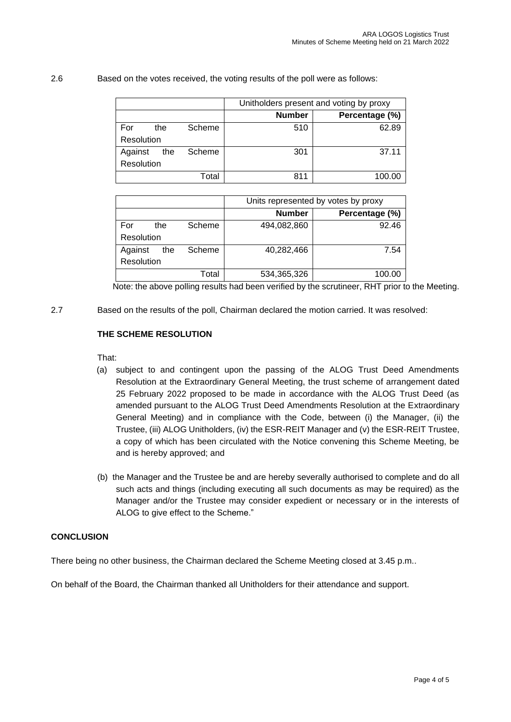| 2.6 | Based on the votes received, the voting results of the poll were as follows: |  |
|-----|------------------------------------------------------------------------------|--|
|     |                                                                              |  |

|            |     |        | Unitholders present and voting by proxy |                |
|------------|-----|--------|-----------------------------------------|----------------|
|            |     |        | <b>Number</b>                           | Percentage (%) |
| For        | the | Scheme | 510                                     | 62.89          |
| Resolution |     |        |                                         |                |
| Against    | the | Scheme | 301                                     | 37.11          |
| Resolution |     |        |                                         |                |
|            |     | Total  | 811                                     | 100.00         |

|            |     |        | Units represented by votes by proxy |                |
|------------|-----|--------|-------------------------------------|----------------|
|            |     |        | <b>Number</b>                       | Percentage (%) |
| For        | the | Scheme | 494,082,860                         | 92.46          |
| Resolution |     |        |                                     |                |
| Against    | the | Scheme | 40,282,466                          | 7.54           |
| Resolution |     |        |                                     |                |
|            |     | Total  | 534,365,326                         | 100.00         |

Note: the above polling results had been verified by the scrutineer, RHT prior to the Meeting.

2.7 Based on the results of the poll, Chairman declared the motion carried. It was resolved:

#### **THE SCHEME RESOLUTION**

That:

- (a) subject to and contingent upon the passing of the ALOG Trust Deed Amendments Resolution at the Extraordinary General Meeting, the trust scheme of arrangement dated 25 February 2022 proposed to be made in accordance with the ALOG Trust Deed (as amended pursuant to the ALOG Trust Deed Amendments Resolution at the Extraordinary General Meeting) and in compliance with the Code, between (i) the Manager, (ii) the Trustee, (iii) ALOG Unitholders, (iv) the ESR-REIT Manager and (v) the ESR-REIT Trustee, a copy of which has been circulated with the Notice convening this Scheme Meeting, be and is hereby approved; and
- (b) the Manager and the Trustee be and are hereby severally authorised to complete and do all such acts and things (including executing all such documents as may be required) as the Manager and/or the Trustee may consider expedient or necessary or in the interests of ALOG to give effect to the Scheme."

#### **CONCLUSION**

There being no other business, the Chairman declared the Scheme Meeting closed at 3.45 p.m..

On behalf of the Board, the Chairman thanked all Unitholders for their attendance and support.